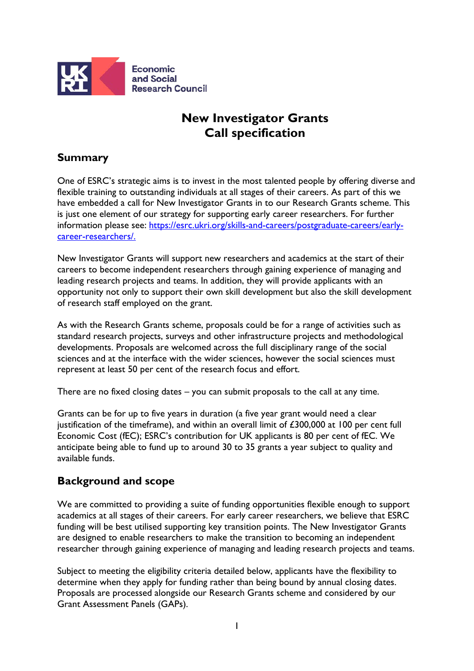

# **New Investigator Grants Call specification**

## **Summary**

One of ESRC's strategic aims is to invest in the most talented people by offering diverse and flexible training to outstanding individuals at all stages of their careers. As part of this we have embedded a call for New Investigator Grants in to our Research Grants scheme. This is just one element of our strategy for supporting early career researchers. For further information please see: [https://esrc.ukri.org/skills-and-careers/postgraduate-careers/early](https://esrc.ukri.org/skills-and-careers/postgraduate-careers/early-career-researchers/)[career-researchers/.](https://esrc.ukri.org/skills-and-careers/postgraduate-careers/early-career-researchers/)

New Investigator Grants will support new researchers and academics at the start of their careers to become independent researchers through gaining experience of managing and leading research projects and teams. In addition, they will provide applicants with an opportunity not only to support their own skill development but also the skill development of research staff employed on the grant.

As with the Research Grants scheme, proposals could be for a range of activities such as standard research projects, surveys and other infrastructure projects and methodological developments. Proposals are welcomed across the full disciplinary range of the social sciences and at the interface with the wider sciences, however the social sciences must represent at least 50 per cent of the research focus and effort.

There are no fixed closing dates – you can submit proposals to the call at any time.

Grants can be for up to five years in duration (a five year grant would need a clear justification of the timeframe), and within an overall limit of £300,000 at 100 per cent full Economic Cost (fEC); ESRC's contribution for UK applicants is 80 per cent of fEC. We anticipate being able to fund up to around 30 to 35 grants a year subject to quality and available funds.

## **Background and scope**

We are committed to providing a suite of funding opportunities flexible enough to support academics at all stages of their careers. For early career researchers, we believe that ESRC funding will be best utilised supporting key transition points. The New Investigator Grants are designed to enable researchers to make the transition to becoming an independent researcher through gaining experience of managing and leading research projects and teams.

Subject to meeting the eligibility criteria detailed below, applicants have the flexibility to determine when they apply for funding rather than being bound by annual closing dates. Proposals are processed alongside our Research Grants scheme and considered by our Grant Assessment Panels (GAPs).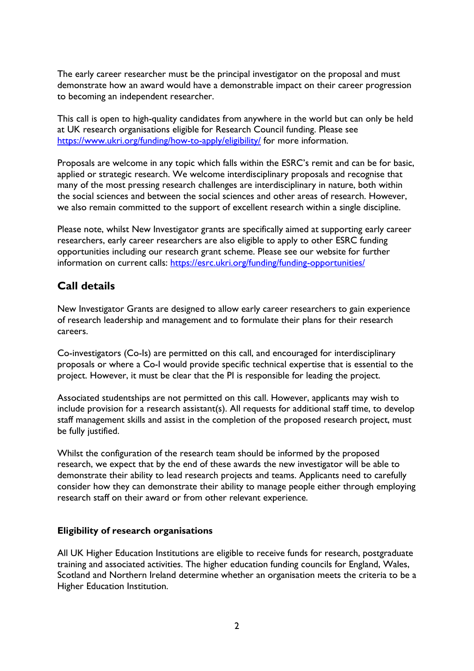The early career researcher must be the principal investigator on the proposal and must demonstrate how an award would have a demonstrable impact on their career progression to becoming an independent researcher.

This call is open to high-quality candidates from anywhere in the world but can only be held at UK research organisations eligible for Research Council funding. Please see <https://www.ukri.org/funding/how-to-apply/eligibility/> for more information.

Proposals are welcome in any topic which falls within the ESRC's remit and can be for basic, applied or strategic research. We welcome interdisciplinary proposals and recognise that many of the most pressing research challenges are interdisciplinary in nature, both within the social sciences and between the social sciences and other areas of research. However, we also remain committed to the support of excellent research within a single discipline.

Please note, whilst New Investigator grants are specifically aimed at supporting early career researchers, early career researchers are also eligible to apply to other ESRC funding opportunities including our research grant scheme. Please see our website for further information on current calls:<https://esrc.ukri.org/funding/funding-opportunities/>

### **Call details**

New Investigator Grants are designed to allow early career researchers to gain experience of research leadership and management and to formulate their plans for their research careers.

Co-investigators (Co-Is) are permitted on this call, and encouraged for interdisciplinary proposals or where a Co-I would provide specific technical expertise that is essential to the project. However, it must be clear that the PI is responsible for leading the project.

Associated studentships are not permitted on this call. However, applicants may wish to include provision for a research assistant(s). All requests for additional staff time, to develop staff management skills and assist in the completion of the proposed research project, must be fully justified.

Whilst the configuration of the research team should be informed by the proposed research, we expect that by the end of these awards the new investigator will be able to demonstrate their ability to lead research projects and teams. Applicants need to carefully consider how they can demonstrate their ability to manage people either through employing research staff on their award or from other relevant experience.

#### **Eligibility of research organisations**

All UK Higher Education Institutions are eligible to receive funds for research, postgraduate training and associated activities. The higher education funding councils for England, Wales, Scotland and Northern Ireland determine whether an organisation meets the criteria to be a Higher Education Institution.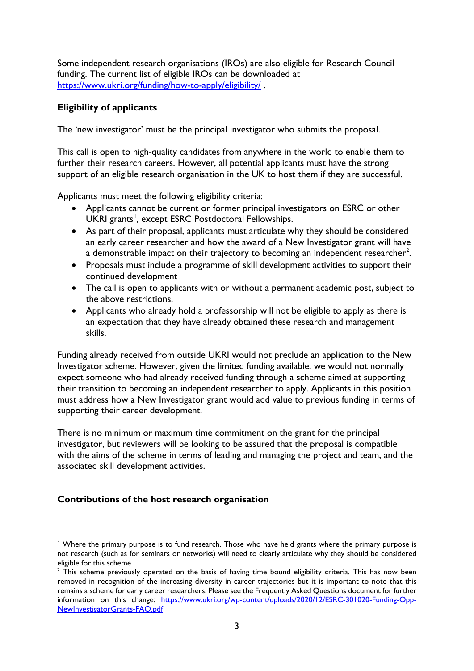Some independent research organisations (IROs) are also eligible for Research Council funding. The current list of eligible IROs can be downloaded at <https://www.ukri.org/funding/how-to-apply/eligibility/> .

#### **Eligibility of applicants**

The 'new investigator' must be the principal investigator who submits the proposal.

This call is open to high-quality candidates from anywhere in the world to enable them to further their research careers. However, all potential applicants must have the strong support of an eligible research organisation in the UK to host them if they are successful.

Applicants must meet the following eligibility criteria:

- Applicants cannot be current or former principal investigators on ESRC or other UKRI grants<sup>[1](#page-2-0)</sup>, except ESRC Postdoctoral Fellowships.
- As part of their proposal, applicants must articulate why they should be considered an early career researcher and how the award of a New Investigator grant will have a demonstrable impact on their trajectory to becoming an independent researcher $^2\!$  $^2\!$  $^2\!$
- Proposals must include a programme of skill development activities to support their continued development
- The call is open to applicants with or without a permanent academic post, subject to the above restrictions.
- Applicants who already hold a professorship will not be eligible to apply as there is an expectation that they have already obtained these research and management skills.

Funding already received from outside UKRI would not preclude an application to the New Investigator scheme. However, given the limited funding available, we would not normally expect someone who had already received funding through a scheme aimed at supporting their transition to becoming an independent researcher to apply. Applicants in this position must address how a New Investigator grant would add value to previous funding in terms of supporting their career development.

There is no minimum or maximum time commitment on the grant for the principal investigator, but reviewers will be looking to be assured that the proposal is compatible with the aims of the scheme in terms of leading and managing the project and team, and the associated skill development activities.

#### **Contributions of the host research organisation**

<span id="page-2-0"></span><sup>&</sup>lt;sup>1</sup> Where the primary purpose is to fund research. Those who have held grants where the primary purpose is not research (such as for seminars or networks) will need to clearly articulate why they should be considered eligible for this scheme.

<span id="page-2-1"></span> $<sup>2</sup>$  This scheme previously operated on the basis of having time bound eligibility criteria. This has now been</sup> removed in recognition of the increasing diversity in career trajectories but it is important to note that this remains a scheme for early career researchers. Please see the Frequently Asked Questions document for further information on this change: [https://www.ukri.org/wp-content/uploads/2020/12/ESRC-301020-Funding-Opp-](https://www.ukri.org/wp-content/uploads/2020/12/ESRC-301020-Funding-Opp-NewInvestigatorGrants-FAQ.pdf)[NewInvestigatorGrants-FAQ.pdf](https://www.ukri.org/wp-content/uploads/2020/12/ESRC-301020-Funding-Opp-NewInvestigatorGrants-FAQ.pdf)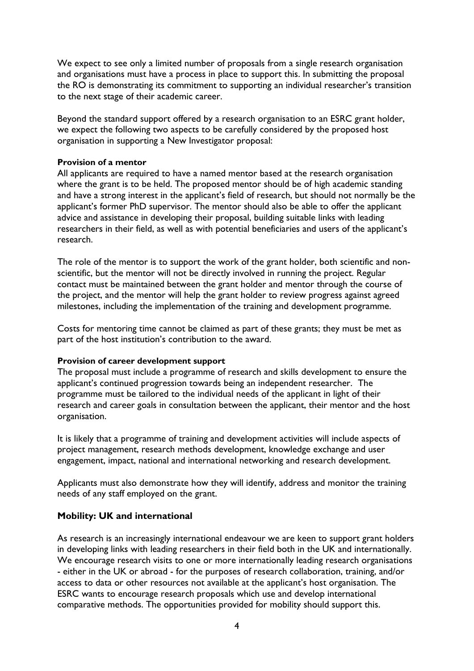We expect to see only a limited number of proposals from a single research organisation and organisations must have a process in place to support this. In submitting the proposal the RO is demonstrating its commitment to supporting an individual researcher's transition to the next stage of their academic career.

Beyond the standard support offered by a research organisation to an ESRC grant holder, we expect the following two aspects to be carefully considered by the proposed host organisation in supporting a New Investigator proposal:

#### **Provision of a mentor**

All applicants are required to have a named mentor based at the research organisation where the grant is to be held. The proposed mentor should be of high academic standing and have a strong interest in the applicant's field of research, but should not normally be the applicant's former PhD supervisor. The mentor should also be able to offer the applicant advice and assistance in developing their proposal, building suitable links with leading researchers in their field, as well as with potential beneficiaries and users of the applicant's research.

The role of the mentor is to support the work of the grant holder, both scientific and nonscientific, but the mentor will not be directly involved in running the project. Regular contact must be maintained between the grant holder and mentor through the course of the project, and the mentor will help the grant holder to review progress against agreed milestones, including the implementation of the training and development programme.

Costs for mentoring time cannot be claimed as part of these grants; they must be met as part of the host institution's contribution to the award.

#### **Provision of career development support**

The proposal must include a programme of research and skills development to ensure the applicant's continued progression towards being an independent researcher. The programme must be tailored to the individual needs of the applicant in light of their research and career goals in consultation between the applicant, their mentor and the host organisation.

It is likely that a programme of training and development activities will include aspects of project management, research methods development, knowledge exchange and user engagement, impact, national and international networking and research development.

Applicants must also demonstrate how they will identify, address and monitor the training needs of any staff employed on the grant.

#### **Mobility: UK and international**

As research is an increasingly international endeavour we are keen to support grant holders in developing links with leading researchers in their field both in the UK and internationally. We encourage research visits to one or more internationally leading research organisations - either in the UK or abroad - for the purposes of research collaboration, training, and/or access to data or other resources not available at the applicant's host organisation. The ESRC wants to encourage research proposals which use and develop international comparative methods. The opportunities provided for mobility should support this.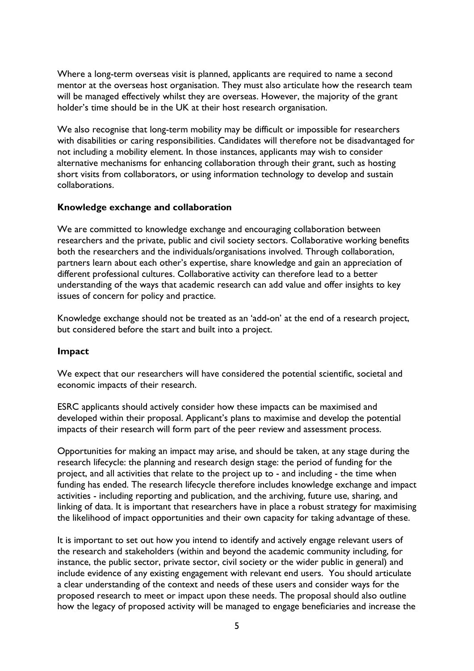Where a long-term overseas visit is planned, applicants are required to name a second mentor at the overseas host organisation. They must also articulate how the research team will be managed effectively whilst they are overseas. However, the majority of the grant holder's time should be in the UK at their host research organisation.

We also recognise that long-term mobility may be difficult or impossible for researchers with disabilities or caring responsibilities. Candidates will therefore not be disadvantaged for not including a mobility element. In those instances, applicants may wish to consider alternative mechanisms for enhancing collaboration through their grant, such as hosting short visits from collaborators, or using information technology to develop and sustain collaborations.

#### **Knowledge exchange and collaboration**

We are committed to knowledge exchange and encouraging collaboration between researchers and the private, public and civil society sectors. Collaborative working benefits both the researchers and the individuals/organisations involved. Through collaboration, partners learn about each other's expertise, share knowledge and gain an appreciation of different professional cultures. Collaborative activity can therefore lead to a better understanding of the ways that academic research can add value and offer insights to key issues of concern for policy and practice.

Knowledge exchange should not be treated as an 'add-on' at the end of a research project, but considered before the start and built into a project.

#### **Impact**

We expect that our researchers will have considered the potential scientific, societal and economic impacts of their research.

ESRC applicants should actively consider how these impacts can be maximised and developed within their proposal. Applicant's plans to maximise and develop the potential impacts of their research will form part of the peer review and assessment process.

Opportunities for making an impact may arise, and should be taken, at any stage during the research lifecycle: the planning and research design stage: the period of funding for the project, and all activities that relate to the project up to - and including - the time when funding has ended. The research lifecycle therefore includes knowledge exchange and impact activities - including reporting and publication, and the archiving, future use, sharing, and linking of data. It is important that researchers have in place a robust strategy for maximising the likelihood of impact opportunities and their own capacity for taking advantage of these.

It is important to set out how you intend to identify and actively engage relevant users of the research and stakeholders (within and beyond the academic community including, for instance, the public sector, private sector, civil society or the wider public in general) and include evidence of any existing engagement with relevant end users. You should articulate a clear understanding of the context and needs of these users and consider ways for the proposed research to meet or impact upon these needs. The proposal should also outline how the legacy of proposed activity will be managed to engage beneficiaries and increase the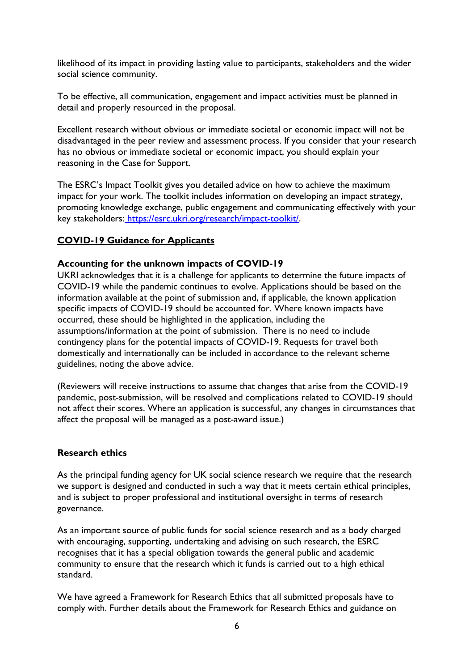likelihood of its impact in providing lasting value to participants, stakeholders and the wider social science community.

To be effective, all communication, engagement and impact activities must be planned in detail and properly resourced in the proposal.

Excellent research without obvious or immediate societal or economic impact will not be disadvantaged in the peer review and assessment process. If you consider that your research has no obvious or immediate societal or economic impact, you should explain your reasoning in the Case for Support.

The ESRC's Impact Toolkit gives you detailed advice on how to achieve the maximum impact for your work. The toolkit includes information on developing an impact strategy, promoting knowledge exchange, public engagement and communicating effectively with your key stakeholders: [https://esrc.ukri.org/research/impact-toolkit/.](https://esrc.ukri.org/research/impact-toolkit/)

#### **COVID-19 Guidance for Applicants**

#### **Accounting for the unknown impacts of COVID-19**

UKRI acknowledges that it is a challenge for applicants to determine the future impacts of COVID-19 while the pandemic continues to evolve. Applications should be based on the information available at the point of submission and, if applicable, the known application specific impacts of COVID-19 should be accounted for. Where known impacts have occurred, these should be highlighted in the application, including the assumptions/information at the point of submission. There is no need to include contingency plans for the potential impacts of COVID-19. Requests for travel both domestically and internationally can be included in accordance to the relevant scheme guidelines, noting the above advice.

(Reviewers will receive instructions to assume that changes that arise from the COVID-19 pandemic, post-submission, will be resolved and complications related to COVID-19 should not affect their scores. Where an application is successful, any changes in circumstances that affect the proposal will be managed as a post-award issue.)

#### **Research ethics**

As the principal funding agency for UK social science research we require that the research we support is designed and conducted in such a way that it meets certain ethical principles, and is subject to proper professional and institutional oversight in terms of research governance.

As an important source of public funds for social science research and as a body charged with encouraging, supporting, undertaking and advising on such research, the ESRC recognises that it has a special obligation towards the general public and academic community to ensure that the research which it funds is carried out to a high ethical standard.

We have agreed a Framework for Research Ethics that all submitted proposals have to comply with. Further details about the Framework for Research Ethics and guidance on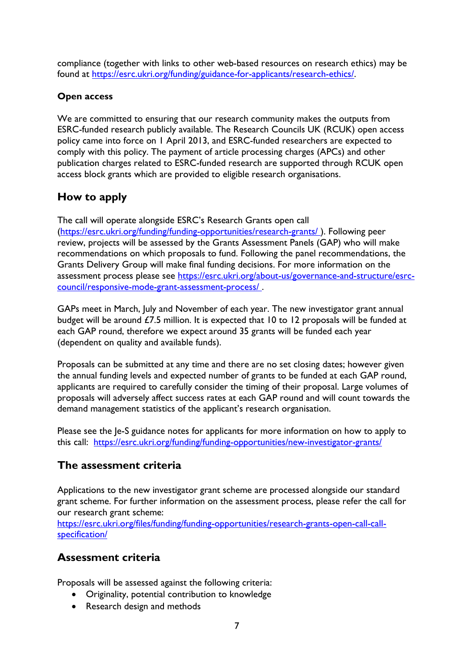compliance (together with links to other web-based resources on research ethics) may be found at [https://esrc.ukri.org/funding/guidance-for-applicants/research-ethics/.](https://esrc.ukri.org/funding/guidance-for-applicants/research-ethics/)

### **Open access**

We are committed to ensuring that our research community makes the outputs from ESRC-funded research publicly available. The Research Councils UK (RCUK) open access policy came into force on 1 April 2013, and ESRC-funded researchers are expected to comply with this policy. The payment of article processing charges (APCs) and other publication charges related to ESRC-funded research are supported through RCUK open access block grants which are provided to eligible research organisations.

# **How to apply**

The call will operate alongside ESRC's Research Grants open call (https://esrc.ukri.org/funding/funding-opportunities/research-grants/ ). Following peer review, projects will be assessed by the Grants Assessment Panels (GAP) who will make recommendations on which proposals to fund. Following the panel recommendations, the Grants Delivery Group will make final funding decisions. For more information on the assessment process please see https://esrc.ukri.org/about-us/governance-and-structure/esrccouncil/responsive-mode-grant-assessment-process/ .

GAPs meet in March, July and November of each year. The new investigator grant annual budget will be around £7.5 million. It is expected that 10 to 12 proposals will be funded at each GAP round, therefore we expect around 35 grants will be funded each year (dependent on quality and available funds).

Proposals can be submitted at any time and there are no set closing dates; however given the annual funding levels and expected number of grants to be funded at each GAP round, applicants are required to carefully consider the timing of their proposal. Large volumes of proposals will adversely affect success rates at each GAP round and will count towards the demand management statistics of the applicant's research organisation.

Please see the Je-S guidance notes for applicants for more information on how to apply to this call: <https://esrc.ukri.org/funding/funding-opportunities/new-investigator-grants/>

# **The assessment criteria**

Applications to the new investigator grant scheme are processed alongside our standard grant scheme. For further information on the assessment process, please refer the call for our research grant scheme:

[https://esrc.ukri.org/files/funding/funding-opportunities/research-grants-open-call-call](https://esrc.ukri.org/files/funding/funding-opportunities/research-grants-open-call-call-specification/)[specification/](https://esrc.ukri.org/files/funding/funding-opportunities/research-grants-open-call-call-specification/)

## **Assessment criteria**

Proposals will be assessed against the following criteria:

- Originality, potential contribution to knowledge
- Research design and methods